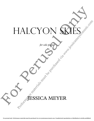## HALCYON SKIES SOF HALCYON SEES PALCYON SKIES

*for solo piano*

ESSICA MEYER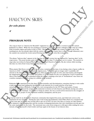*for solo piano*

**4'**

## **PROGRAM NOTE**

The song we know as "America the Beautiful" originated as a poem, written by a woman in her 30's named Katharine Lee Bates. While she was teaching at Colorado College, she and her colleagues took a trip up to Pikes Peak via prairie wagon and mules in July of 1893. Having traveled across the country by train to get to this teaching post, she was already taken with the variety of scenery our country has to offer. Though exhausted, once the summit was reached the words started flowing and she began to write this iconic poem.

The phrase "halcyon skies" appears in the first line of the first version but was replaced by "spacious skies" in the song version. The poem became quite well known, and more than 75 others have set it to music. The melody we sing today was written by Samuel Ward of Grace Episcopal Church in Newark, NJ, also written while traveling this time on a ferry from Coney Island to New York City.

When pianist Min Kwon commissioned me to write a variation of this tune, it was during a time of great conflict in America in 2020. A line from Katharine's original poem, "Till selfish gain no longer stain" is painfully still relevant as the disparity between rich and poor, white people and people of color, men and women, all alongside the inappropriate conflation of science and politics, is on full display for all to see during the Covid-19 pandemic. Most of the famous melody is enmeshed within the texture, stopping at the lyric of "brotherhood" since there are countless examples of people acting very selfishly at the moment. FIALCYON SKIES<br>
for solo piano<br>
4<br> **COGRAM NOTE**<br> **ENGINEERING SECONDAM SECONDAM SECONDAM SECONDAM SECONDAM SECONDAM SECONDAM SECONDAM SECONDAM SECONDAM SECONDAM SECONDAM SECONDAM SECONDAM SECONDAM SECONDAM SECONDAM SECON** 

Katherine Bates experienced her fair share of sexist prejudice and discrimination, sometimes having to write under a male pseudonym and making the decision not to get married, for it would strip her of her hardearned professorship at Wellesley College. As a war correspondent for the NY Times and author of many periodicals, she witnessed the ravages of the industrial revolution in both America and Britain, having seen urban poverty and misery firsthand. In addition to being an author, she was a social activist interested in the struggles of women, workers, people of color, tenement residents, immigrants, and the poor.

It was her wish for an all-inclusive American community that inspired the poem, and which also serves as the inspiration for my variation. During the same week in July that Katharine visited Pikes Peak over a hundred and twenty years ago, my family was recently able to get out of NYC for just a few days to a house on Lake Ontario. The expansive, ever-changing skies and the resonant overlapping harmonies that only windchimes provide gave me the sonic inspirations for the work. The emotional ones come from trying not to fall apart while reading the news instead, refocusing myself to find wonder and hope again in the beauty of our halcyon skies. **Performance materials must be purchased via a support of the system of the purchase of the system of the system of the system of the system of the system of the system of the system of the system of the system of the sys**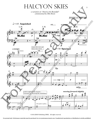## HALCYON SKIES

*a variation on "America the Beautiful" commissioned by Min Kwon*

JESSICA MEYER

3

 ${\mathbf \big\vert}$ **{** 1  $\sqrt{2}$  $p$  **m**  $\blacksquare$  **m**  $\blacksquare$  **m**  $\blacksquare$  **m**  $\blacksquare$  **m**  $\blacksquare$  **m**  $\blacksquare$  **m**  $\blacksquare$  **m**  $\blacksquare$  **m**  $\blacksquare$  **m**  $\blacksquare$  **m**  $\blacksquare$  **m**  $\blacksquare$  **m**  $\blacksquare$  **m**  $\blacksquare$  **m**  $\blacksquare$  **m**  $\blacksquare$  **m**  $\blacksquare$  **m**  $\blacksquare$  **m**  $\blacksquare$  **m**  $\blacks$  $\mathcal{J} = 65$  Anguished *ff ff ff p pp*  $pp \rightarrow$ q = 50 **Spacious** *4* mp<br> $\sum_{i=1}^{\infty}$  <u>Led</u> *p 10*  $\mathfrak{p}$  *mp*  $\mathfrak{p}$ \*° *16*  $4, 4$  $\frac{4}{4}$   $\frac{7}{4}$  $4$   $e$   $4$  $\frac{4}{4}$   $\frac{9}{4}$  $647 -$ L.H. U L.H. *rit......*  $\odot$  Fig. *a tempo* L.H. R.H. *rit....................*  $m<sub>t</sub>$ ? &  $\qquad \qquad \bullet$ *a tempo*  $\stackrel{\sim}{t}$ <br> $\stackrel{\sim}{\theta}$ repeat this note, get faster then slower *rit......*  $\begin{array}{ccc} \frac{1}{2} & \frac{1}{2} & \frac{1}{2} & \frac{1}{2} & \frac{1}{2} & \frac{1}{2} & \frac{1}{2} & \frac{1}{2} & \frac{1}{2} & \frac{1}{2} & \frac{1}{2} & \frac{1}{2} & \frac{1}{2} & \frac{1}{2} & \frac{1}{2} & \frac{1}{2} & \frac{1}{2} & \frac{1}{2} & \frac{1}{2} & \frac{1}{2} & \frac{1}{2} & \frac{1}{2} & \frac{1}{2} & \frac{1}{2} & \frac{1}{2} & \frac{1}{2} & \frac{1}{$  $\begin{array}{ccc} \bullet & ^8 & \end{array}$  $\phi$  :  $\phi$  $\theta$ :  $\begin{array}{ccc} \bullet & & \bullet \end{array}$ pedal roughly by the measure... sonoraties interweaving like windchimes *moving forward slightly*  $9.000$ *cresc poco a poco...* <del>⊨ء ب</del>ہ œ œ#  $\mathbf{e}$  $e^{\frac{\pi}{4}}$ <u></u> <del>⊭</del> ⇒ ≠ ≈ e de la provincia de la provincia del provincia del provincia del provincia del provincia del provincia del pr<br>En la provincia del provincia del provincia del provincia del provincia del provincia del provincia del provin œ# .....<br><del>⊈</del> e<sup>rikaka</sup> nœ # œ œœœœ œ# ≈  $\begin{array}{c} \hline \downarrow \\ \hline \downarrow \\ \hline \downarrow \end{array}$ <u>est</u> **#@@@#@#** # constant st  $\frac{1}{\sqrt{2}}$  $\begin{array}{c} \overline{\mathbf{r}} \\ \hline \mathbf{r} \end{array}$ **#**  $\begin{array}{c|c|c|c|c} \hline \textbf{F} & \textbf{F} & \textbf{F} & \textbf{F} & \textbf{F} \\ \hline \textbf{F} & \textbf{F} & \textbf{F} & \textbf{F} & \textbf{F} \\ \hline \textbf{F} & \textbf{F} & \textbf{F} & \textbf{F} & \textbf{F} \\ \hline \textbf{F} & \textbf{F} & \textbf{F} & \textbf{F} & \textbf{F} \\ \hline \textbf{F} & \textbf{F} & \textbf{F} & \textbf{F} & \textbf{F} \\ \hline \textbf{F} & \textbf{F$ œ#  $\begin{picture}(180,10) \put(0,0){\line(1,0){100}} \put(10,0){\line(1,0){100}} \put(10,0){\line(1,0){100}} \put(10,0){\line(1,0){100}} \put(10,0){\line(1,0){100}} \put(10,0){\line(1,0){100}} \put(10,0){\line(1,0){100}} \put(10,0){\line(1,0){100}} \put(10,0){\line(1,0){100}} \put(10,0){\line(1,0){100}} \put(10,0){\line(1,0){100}}$ œ œ‰™ Œ ‰  $\overrightarrow{v}$  $\bullet$   $\frac{4}{3}$  $\bullet$ œ#  $\frac{1}{4}$  $\overline{\wedge}$ ˙  $\frac{1}{\sqrt{2}}$ ¤<br># ⊉#  $\sharp^{\sharp}$ rmm<br><u>Q</u>  $\frac{f}{f}$ <br>
repeat this note, get<br>
faster then slower<br>
rit.......  $\begin{picture}(180,10) \put(0,0){\vector(1,0){180}} \put(15,0){\vector(1,0){180}} \put(15,0){\vector(1,0){180}} \put(15,0){\vector(1,0){180}} \put(15,0){\vector(1,0){180}} \put(15,0){\vector(1,0){180}} \put(15,0){\vector(1,0){180}} \put(15,0){\vector(1,0){180}} \put(15,0){\vector(1,0){180}} \put(15,0){\vector(1,0){180}} \put(15,0){\vector(1,0){180}}$  $\frac{2}{5}$  $\frac{1}{2}$  $\frac{1}{8}$  $\mathbb{Z}$   $\triangle$  $rac{a}{b}$  $\sum_{i=1}^{n}$  $\frac{u}{8}$  $\frac{\partial}{\partial t}$   $\frac{\partial}{\partial t}$  :  $\frac{3}{8}$   $\frac{1}{8}$  $\frac{1}{2}$   $\frac{1}{2}$  $\sum$  $\bigwedge$  $\overline{\circ}$  $\theta$  $\frac{4}{\sqrt{2}}$ œ# <sup>œ</sup> ® ‰ Œ ‰ <sup>œ</sup>  $\overline{2}$ œ# <sup>Ó</sup> ˙  $\Omega$  $\frac{u}{8}$ d d d  $rac{4}{9}$  $P_{\mathcal{A}}$ **in**  $\frac{1}{2}$  $j \rightarrow j$  $\frac{a}{\sigma}$   $\frac{a}{\sigma}$  $\Delta L_{\alpha}R$  $\frac{1}{2}$  $\frac{1}{\sqrt{2}}$  $\widetilde{\mathcal{R}}_{\Omega}$  $\frac{0}{0}$  $\frac{p}{p}$ <br>  $\frac{p}{p}$ <br>  $\frac{p}{p}$ <br>  $\frac{p}{p}$ <br>  $\frac{p}{p}$ <br>  $\frac{p}{p}$  $\theta$  0  $\frac{0}{\alpha}$  $\frac{8}{6}$  $\frac{8}{2}$  $\frac{\Theta}{\Theta}$  $\frac{1}{\sqrt{2}}$  $\frac{\partial \phi}{\partial r}$   $\frac{\partial \phi}{\partial r}$   $\frac{\partial \phi}{\partial r}$  $\frac{1}{\sqrt{2}}$  $\overline{\ }$  $\overline{\bullet}$  $-9$ <sup>.</sup>  $\cdot$  e  $\mathcal{F}$  $\mathcal{E}$ œ™ œ  $\overline{\ }$  $\leftrightarrow$   $\leftrightarrow$   $\leftrightarrow$ e presenta  $\bullet$   $\bullet$   $\bullet$ e e r  $\sqrt{ }$  $\bullet$   $\bullet$   $\circ$  $\frac{1}{2}$  $e$  $e$  $\frac{1}{2}$  $\frac{1}{2}$  $\frac{2}{\sqrt{2}}$  $\frac{1}{2}$  $e \notin e$  $E = 2$ e<br>e <sub>e</sub>  $\frac{e}{\bullet}$   $\frac{e}{\circ}$   $\frac{e}{\bullet}$  $\frac{1}{\sqrt{2}}$  $=$   $\epsilon$  $\frac{e}{e}$ œ œ  $\frac{\partial^0}{\partial t^2}$  $\mathcal{E} \subset \mathcal{E}$  $\overline{\phantom{a}}$  $\begin{array}{c|c}\n\hline\n\text{...} & \text{...} & \text{...} \\
\hline\n\text{...} & \text{...} & \text{...} \\
\hline\n\text{...} & \text{...} & \text{...} \\
\hline\n\text{...} & \text{...} & \text{...} \\
\hline\n\text{...} & \text{...} & \text{...} \\
\hline\n\text{...} & \text{...} & \text{...} \\
\hline\n\text{...} & \text{...} & \text{...} \\
\hline\n\text{...} & \text{...} & \text{...} \\
\hline\n\text{...} & \text{...} & \text{...} \\
\hline\n\text{...} & \text$  $\frac{0}{\Theta}$  $\theta$  $\frac{\Theta}{\Omega}$  $\frac{1}{6}$   $\frac{1}{6}$   $\frac{1}{6}$   $\frac{1}{6}$   $\frac{1}{6}$   $\frac{1}{6}$  $\frac{1}{2}$   $\frac{1}{2}$   $\frac{1}{2}$  $\frac{d}{dz}$   $\frac{d}{dz}$   $\frac{d}{dz}$  $\frac{2}{\epsilon}$  e e  $\frac{2}{\epsilon}$  $\bullet$   $\overline{\bullet}$ THALL LOIN SNIES<br>  $\frac{1}{2}$  or Anguished<br>  $\frac{1}{2}$  or Anguished<br>  $\frac{1}{2}$  or Anguished<br>  $\frac{1}{2}$  or  $\frac{1}{2}$  or  $\frac{1}{2}$  or  $\frac{1}{2}$  or  $\frac{1}{2}$  or  $\frac{1}{2}$  or  $\frac{1}{2}$  or  $\frac{1}{2}$  or  $\frac{1}{2}$  or  $\frac{1}{2}$  or Performance materials must be purchased via www.jessicame<br>
Performance materials must be purchased via www.jessicame<br>
Performance materials must be purchased via www.jessicame<br>
Performance must be purchased via www.jessic

©2020 JMM Publishing (BMI). All rights reserved.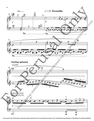